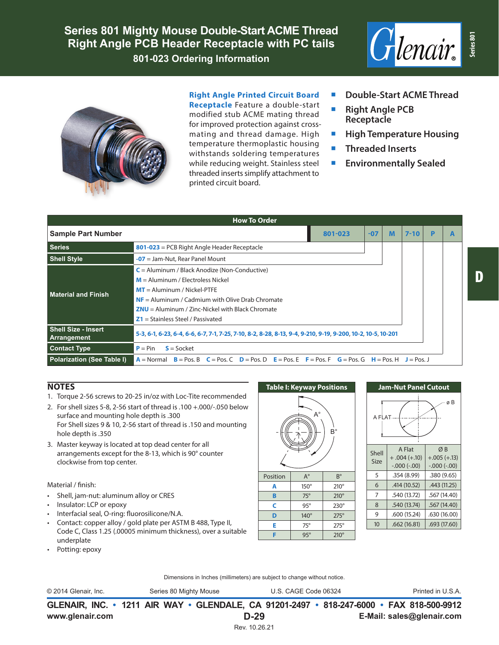**Series 801 Mighty Mouse Double-Start ACME Thread Right Angle PCB Header Receptacle with PC tails 801-023 Ordering Information**





### **Right Angle Printed Circuit Board**

**Receptacle** Feature a double-start modified stub ACME mating thread for improved protection against crossmating and thread damage. High temperature thermoplastic housing withstands soldering temperatures while reducing weight. Stainless steel threaded inserts simplify attachment to printed circuit board.

- **Double-Start ACME Thread**
- **Right Angle PCB Receptacle**
- **High Temperature Housing**
- **Threaded Inserts**
- **Environmentally Sealed**

| <b>How To Order</b>                       |                                                                                                                                                                                                                                                                            |       |   |          |   |  |  |  |  |
|-------------------------------------------|----------------------------------------------------------------------------------------------------------------------------------------------------------------------------------------------------------------------------------------------------------------------------|-------|---|----------|---|--|--|--|--|
| <b>Sample Part Number</b>                 | 801-023                                                                                                                                                                                                                                                                    | $-07$ | M | $7 - 10$ | D |  |  |  |  |
| <b>Series</b>                             | $801 - 023$ = PCB Right Angle Header Receptacle                                                                                                                                                                                                                            |       |   |          |   |  |  |  |  |
| <b>Shell Style</b>                        | $-07$ = Jam-Nut, Rear Panel Mount                                                                                                                                                                                                                                          |       |   |          |   |  |  |  |  |
| <b>Material and Finish</b>                | $C =$ Aluminum / Black Anodize (Non-Conductive)<br>$M =$ Aluminum / Flectroless Nickel<br>$MT =$ Aluminum / Nickel-PTFE<br>$NF =$ Aluminum / Cadmium with Olive Drab Chromate<br>$ZNU =$ Aluminum / Zinc-Nickel with Black Chromate<br>$Z1 =$ Stainless Steel / Passivated |       |   |          |   |  |  |  |  |
| <b>Shell Size - Insert</b><br>Arrangement | 5-3, 6-1, 6-23, 6-4, 6-6, 6-7, 7-1, 7-25, 7-10, 8-2, 8-28, 8-13, 9-4, 9-210, 9-19, 9-200, 10-2, 10-5, 10-201                                                                                                                                                               |       |   |          |   |  |  |  |  |
| <b>Contact Type</b>                       | $S = S$ ocket<br>$P = Pin$                                                                                                                                                                                                                                                 |       |   |          |   |  |  |  |  |
| <b>Polarization (See Table I)</b>         | $A = \text{Normal}$ $B = \text{Pos}$ , $B$ $C = \text{Pos}$ , $C$ $D = \text{Pos}$ , $D$ $E = \text{Pos}$ , $E$ $F = \text{Pos}$ , $F$ $G = \text{Pos}$ , $G$ $H = \text{Pos}$ , $H$ $J = \text{Pos}$ , $J$                                                                |       |   |          |   |  |  |  |  |

## **NOTES**

- 1. Torque 2-56 screws to 20-25 in/oz with Loc-Tite recommended
- 2. For shell sizes 5-8, 2-56 start of thread is .100 +.000/-.050 below surface and mounting hole depth is .300 For Shell sizes 9 & 10, 2-56 start of thread is .150 and mounting hole depth is .350
- 3. Master keyway is located at top dead center for all arrangements except for the 8-13, which is 90° counter clockwise from top center.

#### Material / finish:

- Shell, jam-nut: aluminum alloy or CRES
- Insulator: LCP or epoxy
- Interfacial seal, O-ring: fluorosilicone/N.A.
- Contact: copper alloy / gold plate per ASTM B 488, Type II, Code C, Class 1.25 (.00005 minimum thickness), over a suitable underplate
- Potting: epoxy



 $C = 95^\circ$  230° **D** 140° 275° **E** 75° 275° **F** 95° 210°



Dimensions in Inches (millimeters) are subject to change without notice.

© 2014 Glenair, Inc. Series 80 Mighty Mouse U.S. CAGE Code 06324 Printed in U.S.A.

**www.glenair.com E-Mail: sales@glenair.com GLENAIR, INC. • 1211 AIR WAY • GLENDALE, CA 91201-2497 • 818-247-6000 • FAX 818-500-9912 D-29** Rev. 10.26.21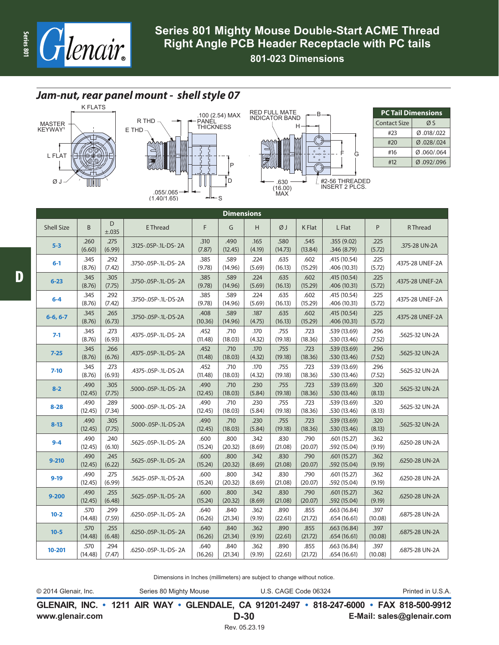

**801-023 Dimensions**

# *Jam-nut, rear panel mount - shell style 07*







| <b>PC Tail Dimensions</b> |            |  |  |  |  |  |  |
|---------------------------|------------|--|--|--|--|--|--|
| <b>Contact Size</b>       | ØS         |  |  |  |  |  |  |
| #23                       | 0.018/.022 |  |  |  |  |  |  |
| #20                       | Ø.028/.024 |  |  |  |  |  |  |
| #16                       | 0.060/064  |  |  |  |  |  |  |
| #12                       | 092/.096   |  |  |  |  |  |  |

| <b>Dimensions</b> |                 |                |                      |                 |                 |                |                 |                 |                              |                 |                  |  |
|-------------------|-----------------|----------------|----------------------|-----------------|-----------------|----------------|-----------------|-----------------|------------------------------|-----------------|------------------|--|
| <b>Shell Size</b> | B               | D<br>±.035     | <b>E</b> Thread      | F               | G               | H              | ØJ              | K Flat          | L Flat                       | P               | <b>R</b> Thread  |  |
| $5 - 3$           | .260<br>(6.60)  | .275<br>(6.99) | .3125-.05P-.1L-DS-2A | .310<br>(7.87)  | .490<br>(12.45) | .165<br>(4.19) | .580<br>(14.73) | .545<br>(13.84) | .355(9.02)<br>.346 (8.79)    | .225<br>(5.72)  | .375-28 UN-2A    |  |
| $6 - 1$           | .345<br>(8.76)  | .292<br>(7.42) | .3750-.05P-.1L-DS-2A | .385<br>(9.78)  | .589<br>(14.96) | .224<br>(5.69) | .635<br>(16.13) | .602<br>(15.29) | .415 (10.54)<br>.406 (10.31) | .225<br>(5.72)  | .4375-28 UNEF-2A |  |
| $6 - 23$          | .345<br>(8.76)  | .305<br>(7.75) | .3750-.05P-.1L-DS-2A | .385<br>(9.78)  | .589<br>(14.96) | .224<br>(5.69) | .635<br>(16.13) | .602<br>(15.29) | .415 (10.54)<br>.406 (10.31) | .225<br>(5.72)  | .4375-28 UNEF-2A |  |
| $6 - 4$           | .345<br>(8.76)  | .292<br>(7.42) | .3750-.05P-.1L-DS-2A | .385<br>(9.78)  | .589<br>(14.96) | .224<br>(5.69) | .635<br>(16.13) | .602<br>(15.29) | .415 (10.54)<br>.406 (10.31) | .225<br>(5.72)  | .4375-28 UNEF-2A |  |
| $6-6, 6-7$        | .345<br>(8.76)  | .265<br>(6.73) | .3750-.05P-.1L-DS-2A | .408<br>(10.36) | .589<br>(14.96) | .187<br>(4.75) | .635<br>(16.13) | .602<br>(15.29) | .415 (10.54)<br>.406 (10.31) | .225<br>(5.72)  | .4375-28 UNEF-2A |  |
| $7-1$             | .345<br>(8.76)  | .273<br>(6.93) | .4375-.05P-.1L-DS-2A | .452<br>(11.48) | .710<br>(18.03) | .170<br>(4.32) | .755<br>(19.18) | .723<br>(18.36) | .539 (13.69)<br>.530 (13.46) | .296<br>(7.52)  | .5625-32 UN-2A   |  |
| $7 - 25$          | .345<br>(8.76)  | .266<br>(6.76) | .4375-.05P-.1L-DS-2A | .452<br>(11.48) | .710<br>(18.03) | .170<br>(4.32) | .755<br>(19.18) | .723<br>(18.36) | .539 (13.69)<br>.530(13.46)  | .296<br>(7.52)  | .5625-32 UN-2A   |  |
| $7 - 10$          | .345<br>(8.76)  | .273<br>(6.93) | .4375-.05P-.1L-DS-2A | .452<br>(11.48) | .710<br>(18.03) | .170<br>(4.32) | .755<br>(19.18) | .723<br>(18.36) | .539 (13.69)<br>.530 (13.46) | .296<br>(7.52)  | .5625-32 UN-2A   |  |
| $8 - 2$           | .490<br>(12.45) | .305<br>(7.75) | .5000-.05P-.1L-DS-2A | .490<br>(12.45) | .710<br>(18.03) | .230<br>(5.84) | .755<br>(19.18) | .723<br>(18.36) | .539 (13.69)<br>.530 (13.46) | .320<br>(8.13)  | .5625-32 UN-2A   |  |
| $8 - 28$          | .490<br>(12.45) | .289<br>(7.34) | .5000-.05P-.1L-DS-2A | .490<br>(12.45) | .710<br>(18.03) | .230<br>(5.84) | .755<br>(19.18) | .723<br>(18.36) | .539 (13.69)<br>.530 (13.46) | .320<br>(8.13)  | .5625-32 UN-2A   |  |
| $8 - 13$          | .490<br>(12.45) | .305<br>(7.75) | .5000-.05P-.1L-DS-2A | .490<br>(12.45) | .710<br>(18.03) | .230<br>(5.84) | .755<br>(19.18) | .723<br>(18.36) | .539 (13.69)<br>.530 (13.46) | .320<br>(8.13)  | .5625-32 UN-2A   |  |
| $9 - 4$           | .490<br>(12.45) | .240<br>(6.10) | .5625-.05P-.1L-DS-2A | .600<br>(15.24) | .800<br>(20.32) | .342<br>(8.69) | .830<br>(21.08) | .790<br>(20.07) | .601(15.27)<br>.592 (15.04)  | .362<br>(9.19)  | .6250-28 UN-2A   |  |
| $9 - 210$         | .490<br>(12.45) | .245<br>(6.22) | .5625-.05P-.1L-DS-2A | .600<br>(15.24) | .800<br>(20.32) | .342<br>(8.69) | .830<br>(21.08) | .790<br>(20.07) | .601(15.27)<br>.592 (15.04)  | .362<br>(9.19)  | .6250-28 UN-2A   |  |
| $9 - 19$          | .490<br>(12.45) | .275<br>(6.99) | .5625-.05P-.1L-DS-2A | .600<br>(15.24) | .800<br>(20.32) | .342<br>(8.69) | .830<br>(21.08) | .790<br>(20.07) | .601(15.27)<br>.592 (15.04)  | .362<br>(9.19)  | .6250-28 UN-2A   |  |
| $9 - 200$         | .490<br>(12.45) | .255<br>(6.48) | .5625-.05P-.1L-DS-2A | .600<br>(15.24) | .800<br>(20.32) | .342<br>(8.69) | .830<br>(21.08) | .790<br>(20.07) | .601(15.27)<br>.592 (15.04)  | .362<br>(9.19)  | .6250-28 UN-2A   |  |
| $10 - 2$          | .570<br>(14.48) | .299<br>(7.59) | .6250-.05P-.1L-DS-2A | .640<br>(16.26) | .840<br>(21.34) | .362<br>(9.19) | .890<br>(22.61) | .855<br>(21.72) | .663 (16.84)<br>.654(16.61)  | .397<br>(10.08) | .6875-28 UN-2A   |  |
| $10 - 5$          | .570<br>(14.48) | .255<br>(6.48) | .6250-.05P-.1L-DS-2A | .640<br>(16.26) | .840<br>(21.34) | .362<br>(9.19) | .890<br>(22.61) | .855<br>(21.72) | .663(16.84)<br>.654(16.61)   | .397<br>(10.08) | .6875-28 UN-2A   |  |
| 10-201            | .570<br>(14.48) | .294<br>(7.47) | .6250-.05P-.1L-DS-2A | .640<br>(16.26) | .840<br>(21.34) | .362<br>(9.19) | .890<br>(22.61) | .855<br>(21.72) | .663 (16.84)<br>.654 (16.61) | .397<br>(10.08) | .6875-28 UN-2A   |  |

Dimensions in Inches (millimeters) are subject to change without notice.

© 2014 Glenair, Inc. Series 80 Mighty Mouse U.S. CAGE Code 06324 Printed in U.S.A.

**www.glenair.com E-Mail: sales@glenair.com GLENAIR, INC. • 1211 AIR WAY • GLENDALE, CA 91201-2497 • 818-247-6000 • FAX 818-500-9912 D-30** Rev. 05.23.19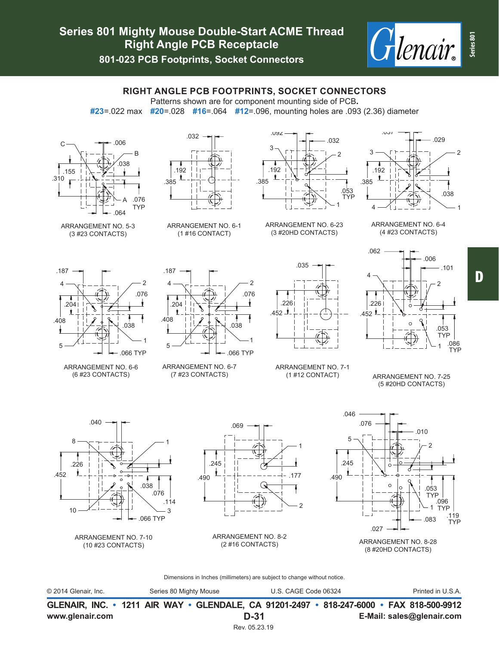

**801-023 PCB Footprints, Socket Connectors**

# **RIGHT ANGLE PCB FOOTPRINTS, SOCKET CONNECTORS**

Patterns shown are for component mounting side of PCB**.**

**#23**=.022 max **#20**=.028 **#16**=.064 **#12**=.096, mounting holes are .093 (2.36) diameter



ARRANGEMENT NO. 5-3 (3 #23 CONTACTS)

ARRANGEMENT NO. 6-6 (6 #23 CONTACTS)

4

.187

 $204$ 

 $\mathbf t$ 

5

.408



ARRANGEMENT NO. 6-1 (1 #16 CONTACT)

ARRANGEMENT NO. 6-7 (7 #23 CONTACTS)



ARRANGEMENT NO. 6-23 (3 #20HD CONTACTS)

.035

.226 .452

- 1



ARRANGEMENT NO. 6-4 (4 #23 CONTACTS)



ARRANGEMENT NO. 7-1 (1 #12 CONTACT)

.046

ARRANGEMENT NO. 7-25 (5 #20HD CONTACTS)



1

.066 TYP

.038

 $\mathfrak{D}$ 

.187

4

.408

5

.204

 $\mathbf{r}$ 

.076

ARRANGEMENT NO. 7-10 (10 #23 CONTACTS)



.038

.066 TYP

.076

1

 $\mathcal{P}$ 

ARRANGEMENT NO. 8-2 (2 #16 CONTACTS)



(8 #20HD CONTACTS)

Dimensions in Inches (millimeters) are subject to change without notice.

© 2014 Glenair, Inc. Series 80 Mighty Mouse U.S. CAGE Code 06324 Printed in U.S.A.

**www.glenair.com E-Mail: sales@glenair.com GLENAIR, INC. • 1211 AIR WAY • GLENDALE, CA 91201-2497 • 818-247-6000 • FAX 818-500-9912 D-31** Rev. 05.23.19